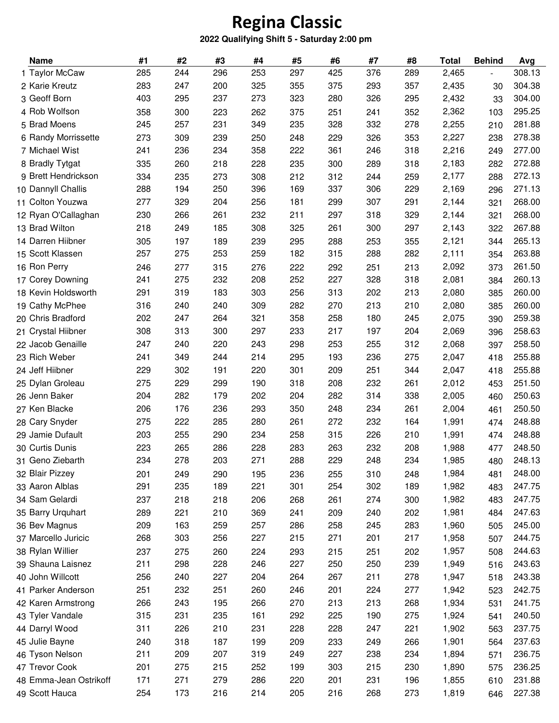## **Regina Classic**

## **2022 Qualifying Shift 5 - Saturday 2:00 pm**

| <b>Name</b>            | #1  | #2  | #3  | #4  | #5  | #6  | #7  | #8  | Total | <b>Behind</b>  | Avg    |
|------------------------|-----|-----|-----|-----|-----|-----|-----|-----|-------|----------------|--------|
| 1 Taylor McCaw         | 285 | 244 | 296 | 253 | 297 | 425 | 376 | 289 | 2,465 | $\blacksquare$ | 308.13 |
| 2 Karie Kreutz         | 283 | 247 | 200 | 325 | 355 | 375 | 293 | 357 | 2,435 | 30             | 304.38 |
| 3 Geoff Born           | 403 | 295 | 237 | 273 | 323 | 280 | 326 | 295 | 2,432 | 33             | 304.00 |
| 4 Rob Wolfson          | 358 | 300 | 223 | 262 | 375 | 251 | 241 | 352 | 2,362 | 103            | 295.25 |
| 5 Brad Moens           | 245 | 257 | 231 | 349 | 235 | 328 | 332 | 278 | 2,255 | 210            | 281.88 |
| 6 Randy Morrissette    | 273 | 309 | 239 | 250 | 248 | 229 | 326 | 353 | 2,227 | 238            | 278.38 |
| 7 Michael Wist         | 241 | 236 | 234 | 358 | 222 | 361 | 246 | 318 | 2,216 | 249            | 277.00 |
| 8 Bradly Tytgat        | 335 | 260 | 218 | 228 | 235 | 300 | 289 | 318 | 2,183 | 282            | 272.88 |
| 9 Brett Hendrickson    | 334 | 235 | 273 | 308 | 212 | 312 | 244 | 259 | 2,177 | 288            | 272.13 |
| 10 Dannyll Challis     | 288 | 194 | 250 | 396 | 169 | 337 | 306 | 229 | 2,169 | 296            | 271.13 |
| 11 Colton Youzwa       | 277 | 329 | 204 | 256 | 181 | 299 | 307 | 291 | 2,144 | 321            | 268.00 |
| 12 Ryan O'Callaghan    | 230 | 266 | 261 | 232 | 211 | 297 | 318 | 329 | 2,144 | 321            | 268.00 |
| 13 Brad Wilton         | 218 | 249 | 185 | 308 | 325 | 261 | 300 | 297 | 2,143 | 322            | 267.88 |
| 14 Darren Hiibner      | 305 | 197 | 189 | 239 | 295 | 288 | 253 | 355 | 2,121 | 344            | 265.13 |
| 15 Scott Klassen       | 257 | 275 | 253 | 259 | 182 | 315 | 288 | 282 | 2,111 | 354            | 263.88 |
| 16 Ron Perry           | 246 | 277 | 315 | 276 | 222 | 292 | 251 | 213 | 2,092 | 373            | 261.50 |
| 17 Corey Downing       | 241 | 275 | 232 | 208 | 252 | 227 | 328 | 318 | 2,081 | 384            | 260.13 |
| 18 Kevin Holdsworth    | 291 | 319 | 183 | 303 | 256 | 313 | 202 | 213 | 2,080 | 385            | 260.00 |
| 19 Cathy McPhee        | 316 | 240 | 240 | 309 | 282 | 270 | 213 | 210 | 2,080 | 385            | 260.00 |
| 20 Chris Bradford      | 202 | 247 | 264 | 321 | 358 | 258 | 180 | 245 | 2,075 | 390            | 259.38 |
| 21 Crystal Hiibner     | 308 | 313 | 300 | 297 | 233 | 217 | 197 | 204 | 2,069 | 396            | 258.63 |
| 22 Jacob Genaille      | 247 | 240 | 220 | 243 | 298 | 253 | 255 | 312 | 2,068 | 397            | 258.50 |
| 23 Rich Weber          | 241 | 349 | 244 | 214 | 295 | 193 | 236 | 275 | 2,047 | 418            | 255.88 |
| 24 Jeff Hiibner        | 229 | 302 | 191 | 220 | 301 | 209 | 251 | 344 | 2,047 | 418            | 255.88 |
| 25 Dylan Groleau       | 275 | 229 | 299 | 190 | 318 | 208 | 232 | 261 | 2,012 | 453            | 251.50 |
| 26 Jenn Baker          | 204 | 282 | 179 | 202 | 204 | 282 | 314 | 338 | 2,005 | 460            | 250.63 |
| 27 Ken Blacke          | 206 | 176 | 236 | 293 | 350 | 248 | 234 | 261 | 2,004 | 461            | 250.50 |
| 28 Cary Snyder         | 275 | 222 | 285 | 280 | 261 | 272 | 232 | 164 | 1,991 | 474            | 248.88 |
| 29 Jamie Dufault       | 203 | 255 | 290 | 234 | 258 | 315 | 226 | 210 | 1,991 | 474            | 248.88 |
| 30 Curtis Dunis        | 223 | 265 | 286 | 228 | 283 | 263 | 232 | 208 | 1,988 | 477            | 248.50 |
| 31 Geno Ziebarth       | 234 | 278 | 203 | 271 | 288 | 229 | 248 | 234 | 1,985 | 480            | 248.13 |
| 32 Blair Pizzey        | 201 | 249 | 290 | 195 | 236 | 255 | 310 | 248 | 1,984 | 481            | 248.00 |
| 33 Aaron Alblas        | 291 | 235 | 189 | 221 | 301 | 254 | 302 | 189 | 1,982 | 483            | 247.75 |
| 34 Sam Gelardi         | 237 | 218 | 218 | 206 | 268 | 261 | 274 | 300 | 1,982 | 483            | 247.75 |
| 35 Barry Urquhart      | 289 | 221 | 210 | 369 | 241 | 209 | 240 | 202 | 1,981 | 484            | 247.63 |
| 36 Bev Magnus          | 209 | 163 | 259 | 257 | 286 | 258 | 245 | 283 | 1,960 | 505            | 245.00 |
| 37 Marcello Juricic    | 268 | 303 | 256 | 227 | 215 | 271 | 201 | 217 | 1,958 | 507            | 244.75 |
| 38 Rylan Willier       | 237 | 275 | 260 | 224 | 293 | 215 | 251 | 202 | 1,957 | 508            | 244.63 |
| 39 Shauna Laisnez      | 211 | 298 | 228 | 246 | 227 | 250 | 250 | 239 | 1,949 | 516            | 243.63 |
| 40 John Willcott       | 256 | 240 | 227 | 204 | 264 | 267 | 211 | 278 | 1,947 | 518            | 243.38 |
| 41 Parker Anderson     | 251 | 232 | 251 | 260 | 246 | 201 | 224 | 277 | 1,942 | 523            | 242.75 |
| 42 Karen Armstrong     | 266 | 243 | 195 | 266 | 270 | 213 | 213 | 268 | 1,934 | 531            | 241.75 |
| 43 Tyler Vandale       | 315 | 231 | 235 | 161 | 292 | 225 | 190 | 275 | 1,924 | 541            | 240.50 |
| 44 Darryl Wood         | 311 | 226 | 210 | 231 | 228 | 228 | 247 | 221 | 1,902 | 563            | 237.75 |
| 45 Julie Bayne         | 240 | 318 | 187 | 199 | 209 | 233 | 249 | 266 | 1,901 | 564            | 237.63 |
| 46 Tyson Nelson        | 211 | 209 | 207 | 319 | 249 | 227 | 238 | 234 | 1,894 | 571            | 236.75 |
| 47 Trevor Cook         | 201 | 275 | 215 | 252 | 199 | 303 | 215 | 230 | 1,890 | 575            | 236.25 |
| 48 Emma-Jean Ostrikoff | 171 | 271 | 279 | 286 | 220 | 201 | 231 | 196 | 1,855 | 610            | 231.88 |
| 49 Scott Hauca         | 254 | 173 | 216 | 214 | 205 | 216 | 268 | 273 | 1,819 | 646            | 227.38 |